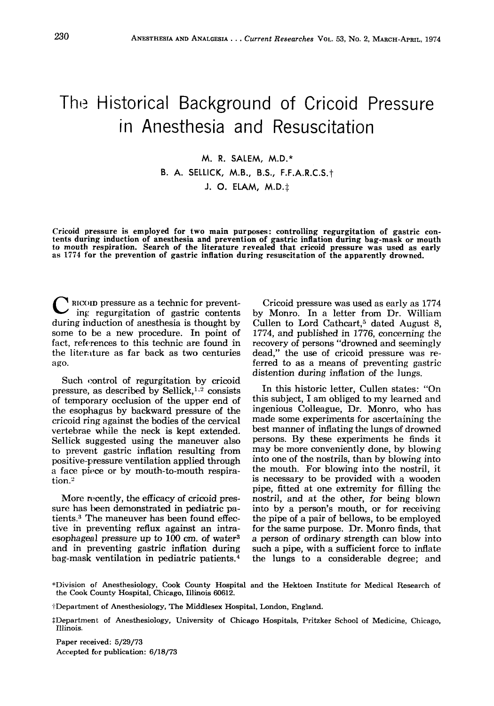# The Historical Background of Cricoid Pressure in Anesthesia and Resuscitation

## **M. R. SALEM, M.D.\***

### **B. A. SELLICK, M.B., B.S., F.F.A.R.C.5.t**

#### J. *0.* **ELAM, M.D.+**

**Cricoid pressure is employed for two main purposes: controlling regurgitation of gastric con- tents during induction of anesthesia and prevention of gastric inflation during bag-mask or mouth to mouth respiration. Search of the literature revealed that cricoid pressure was used as early as 1774 for the prevention of gastric inflation during resuscitation of the apparently drowned.** 

RICOID pressure as a technic for prevent-<br>ing regurgitation of gastric contents during induction of anesthesia is thought by some to be a new procedure. In point of fact, references to this technic are found in the literature as far back as two centuries ago.

Such control of regurgitation by cricoid pressure, as described by Sellick, $1.2$  consists of temporary occlusion of the upper end of the esophagus by backward pressure of the cricoid ring against the bodies of the cervical vertebrae while the neck is kept extended. Sellick suggested using the maneuver also to prevent gastric inflation resulting from positive-pressure ventilation applied through a face piece or by mouth-to-mouth respiration.?

More recently, the efficacy of cricoid pressure has been demonstrated in pediatric patients.3 The maneuver has been found effective in preventing reflux against an intraesophageal pressure **up** to **100** cm. of water3 and in preventing gastric inflation during bag-mask ventilation in pediatric patients.<sup>4</sup>

Cricoid pressure was used as early as **1774**  by Monro. In a letter from Dr. William Cullen to Lord Cathcart,<sup>5</sup> dated August 8, 1774, and published in 1776, concerning the recovery of persons "drowned and seemingly dead," the **use** of cricoid pressure was referred to as a means of preventing gastric distention during inflation of the lungs.

In this historic letter, Cullen states: "On this subject, I am obliged to my learned and ingenious Colleague, Dr. Monro, who has made some experiments for ascertaining the best manner of inflating the lungs of drowned persons. By these experiments he finds it may be more conveniently done, by blowing into one of the nostrils, than by blowing into the mouth. For blowing into the nostril, it is necessary to be provided with a wooden pipe, fitted at one extremity for filling the nostril, and at the other, for being blown into by a person's mouth, or for receiving the pipe of a pair of bellows, to be employed for the same purpose. Dr. Monro finds, that a **person** of ordinary strength can blow into such a pipe, with a sufficient force to inflate the lungs to a considerable degree; and

**Paper received: 5/29/73 Accepted for publication: 6/18/73** 

**<sup>&</sup>quot;Division of Anesthesiology, Cook County Hospital and the Hektoen Institute for Medical Research** of **the Cook County Hospital, Chicago, Illinois 60612.** 

**<sup>?</sup>Department** of **Anesthesiology, The Middlesex Hospital, London, England.** 

**SDepartmen** t of **Anesthesiology, University of Chicago Hospitals, Pritzker School of Medicine, Chicago, Illinois.**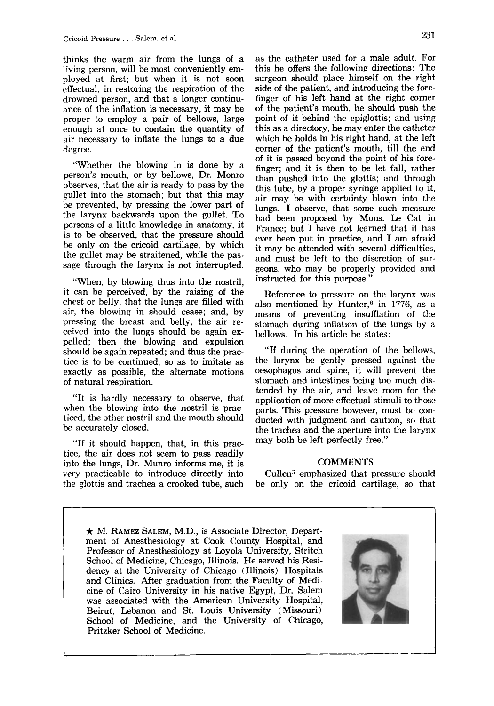thinks the warm air from the lungs of a living person, will be most conveniently employed at first; but when it is not soon effectual, in restoring the respiration of the drowned person, and that a longer continuance of the inflation is necessary, it may be proper to employ a pair of bellows, large enough at once to contain the quantity of air necessary to inflate the lungs to a due degree.

"Whether the blowing in is done by a person's mouth, or by bellows, Dr. Monro observes, that the air is ready to pass by the gullet into the stomach; but that this may be prevented, by pressing the lower part of the larynx backwards upon the gullet. To persons of a little knowledge in anatomy, it is to be observed, that the pressure should be only on the cricoid cartilage, by which the gullet may be straitened, while the passage through the larynx is not interrupted.

"When, by blowing thus into the nostril, it can be perceived, by the raising of the chest or belly, that the lungs are filled with air, the blowing in should cease; and, by pressing the breast and belly, the air received into the lungs should be again expelled; then the blowing and expulsion should be again repeated; and thus the practice is to be continued, so as to imitate as exactly as possible, the alternate motions of natural respiration.

"It is hardly necessary to observe, that when the blowing into the nostril is practiced, the other nostril and the mouth should be accurately closed.

"If it should happen, that, in this practice, the air does not seem to pass readily into the lungs, Dr. Munro informs me, it is very practicable to introduce directly into the glottis and trachea a crooked tube, such as the catheter used for a male adult. For this he offers the following directions: The surgeon should place himself on the right side of the patient, and introducing the forefinger of his left hand at the right corner of the patient's mouth, he should push the point of it behind the epiglottis; and using this as a directory, he may enter the catheter which he holds in his right hand, at the left corner of the patient's mouth, till the end of it is passed beyond the point of his forefinger; and it is then to be let fall, rather than pushed into the glottis; and through this tube, by a proper syringe applied to it, air may be with certainty blown into the lungs. **I** observe, that some such measure had been proposed by Mons. **Le** Cat in France; but I have not learned that it has ever been put in practice, and I am afraid it may be attended with several difficulties, and must be left to the discretion of surgeons, who may be properly provided and instructed for this purpose."

Reference to pressure on the larynx was also mentioned by Hunter, $6$  in 1776, as a means of preventing insufflation of the stomach during inflation of the lungs by a bellows. In his article he states:

"If during the operation of the bellows, the larynx be gently pressed against the oesophagus and spine, it will prevent the stomach and intestines being too much distended by the air, and leave room for the application of more effectual stimuli to those parts. This pressure however, must be conducted with judgment and caution, so that the trachea and the aperture into the larynx may both be left perfectly free."

#### **COMMENTS**

Cullen<sup>5</sup> emphasized that pressure should be only on the cricoid cartilage, *so* that

\* M. **RAMEZ SALEM,** M.D., is Associate Director, Department of Anesthesiology at Cook County Hospital, and Professor of Anesthesiology at Loyola University, Stritch School of Medicine, Chicago, Illinois. He served his Residency at the University of Chicago (Illinois) Hospitals and Clinics. After graduation from the Faculty of Medicine of Cairo University in his native Egypt, Dr. Salem was associated with the American University Hospital, Beirut, Lebanon and St. Louis University (Missouri) School of Medicine, and the University of Chicago, Pritzker School of Medicine.